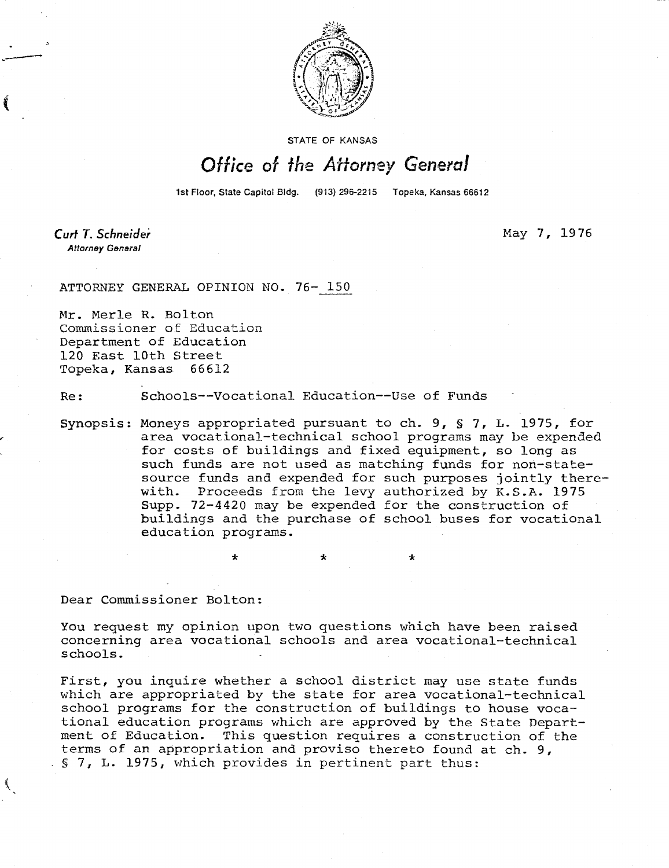

STATE OF KANSAS

## Office of the Attorney General

1st Floor, State Capitol Bldg. (913) 296-2215 Topeka, Kansas 66612

Curt T. Schneider **Attorney General** 

May 7, 1976

ATTORNEY GENERAL OPINION NO. 76- 150

Mr. Merle R. Bolton Commissioner of Education Department of Education 120 East 10th Street Topeka, Kansas 66612

Re: Schools--Vocational Education--Use of Funds

÷

Synopsis: Moneys appropriated pursuant to ch. 9, § 7, L. 1975, for area vocational-technical school programs may be expended for costs of buildings and fixed equipment, so long as such funds are not used as matching funds for non-statesource funds and expended for such purposes jointly therewith. Proceeds from the levy authorized by K.S.A. 1975 Supp. 72-4420 may be expended for the construction of buildings and the purchase of school buses for vocational education programs.

÷

Dear Commissioner Bolton:

 $\mathcal{L}_{\mathcal{L}}$ 

You request my opinion upon two questions which have been raised concerning area vocational schools and area vocational-technical schools.

First, you inquire whether a school district may use state funds which are appropriated by the state for area vocational-technical school programs for the construction of buildings to house vocational education programs which are approved by the State Department of Education. This question requires a construction of the terms of an appropriation and proviso thereto found at ch. 9, § 7, L. 1975, which provides in pertinent part thus: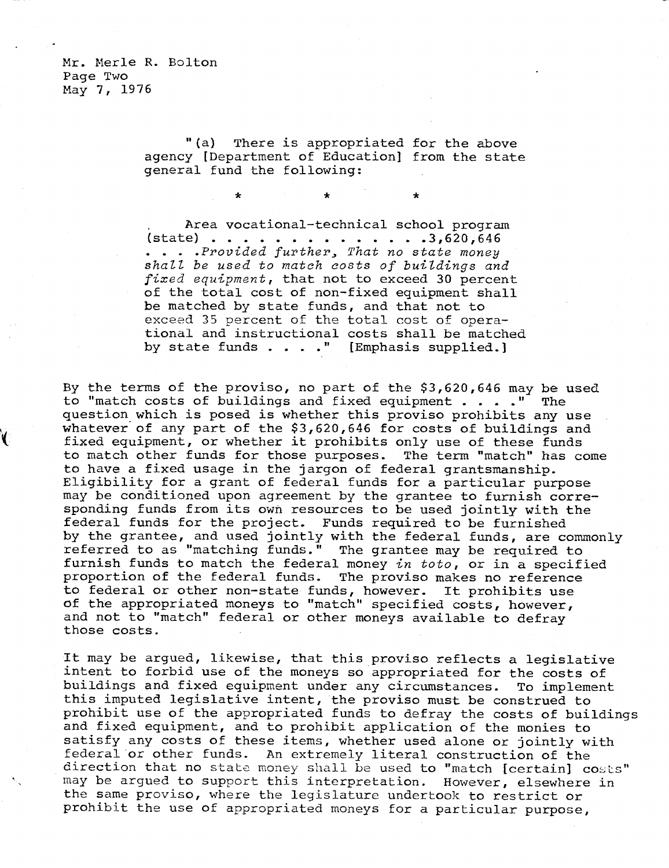Mr. Merle R. Bolton Page Two May 7, 1976

> "(a) There is appropriated for the above agency [Department of Education] from the state general fund the following:

> > $\star$

 $\star$ 

\*

Area vocational-technical school program  $(state)$  . . . . . . . . . . . . . 3,620,646 ... Provided further, That no state money shall be used to match costs of buildings and fixed equipment, that not to exceed 30 percent of the total cost of non-fixed equipment shall be matched by state funds, and that not to exceed 35 percent of the total cost of operational and instructional costs shall be matched by state funds . . . ." [Emphasis supplied.]

By the terms of the proviso, no part of the \$3,620,646 may be used to "match costs of buildings and fixed equipment . . . ." The question which is posed is whether this proviso prohibits any use whatever of any part of the \$3,620,646 for costs of buildings and fixed equipment, or whether it prohibits only use of these funds to match other funds for those purposes. The term "match" has come to have a fixed usage in the jargon of federal grantsmanship. Eligibility for a grant of federal funds for a particular purpose may be conditioned upon agreement by the grantee to furnish corresponding funds from its own resources to be used jointly with the federal funds for the project. Funds required to be furnished by the grantee, and used jointly with the federal funds, are commonly referred to as "matching funds." The grantee may be required to furnish funds to match the federal money in toto, or in a specified proportion of the federal funds. The proviso makes no reference to federal or other non-state funds, however. It prohibits use of the appropriated moneys to "match" specified costs, however, and not to "match" federal or other moneys available to defray those costs.

It may be argued, likewise, that this proviso reflects a legislative intent to forbid use of the moneys so appropriated for the costs of buildings and fixed equipment under any circumstances. To implement this imputed legislative intent, the proviso must be construed to prohibit use of the appropriated funds to defray the costs of buildings and fixed equipment, and to prohibit application of the monies to satisfy any costs of these items, whether used alone or jointly with federal or other funds. An extremely literal construction of the direction that no state money shall be used to "match [certain] costs" may be argued to support this interpretation. However, elsewhere in the same proviso, where the legislature undertook to restrict or prohibit the use of appropriated moneys for a particular purpose,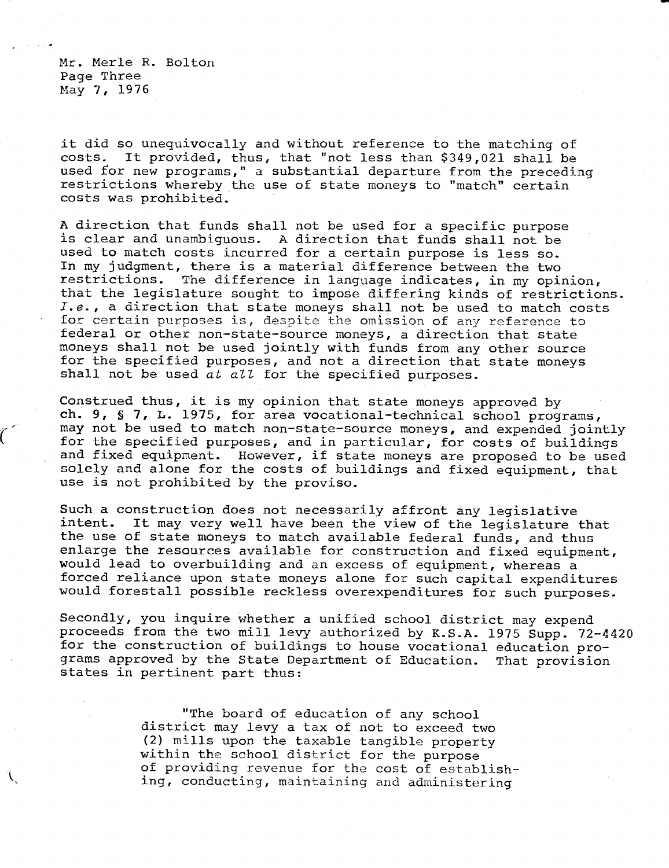Mr. Merle R. Bolton Page Three May 7, 1976

it did so unequivocally and without reference to the matching of costs. It provided, thus, that "not less than \$349,021 shall be used for new programs," a substantial departure from the preceding restrictions whereby the use of state moneys to "match" certain costs was prohibited.

A direction that funds shall not be used for a specific purpose is clear and unambiguous. A direction that funds shall not be used to match costs incurred for a certain purpose is less so. In my judgment, there is a material difference between the two restrictions. The difference in language indicates, in my opinion, that the legislature sought to impose differing kinds of restrictions. I.e., a direction that state moneys shall not be used to match costs for certain purposes is, despite the omission of any reference to federal or other non-state-source moneys, a direction that state moneys shall not be used jointly with funds from any other source for the specified purposes, and not a direction that state moneys shall not be used at all for the specified purposes.

Construed thus, it is my opinion that state moneys approved by ch. 9, § 7, L. 1975, for area vocational-technical school programs, may not be used to match non-state-source moneys, and expended jointly for the specified purposes, and in particular, for costs of buildings and fixed equipment. However, if state moneys are proposed to be used solely and alone for the costs of buildings and fixed equipment, that use is not prohibited by the proviso.

Such a construction does not necessarily affront any legislative<br>intent. It may very well have been the view of the legislature It may very well have been the view of the legislature that the use of state moneys to match available federal funds, and thus enlarge the resources available for construction and fixed equipment, would lead to overbuilding and an excess of equipment, whereas a forced reliance upon state moneys alone for such capital expenditures would forestall possible reckless overexpenditures for such purposes.

Secondly, you inquire whether a unified school district may expend proceeds from the two mill levy authorized by K.S.A. 1975 Supp. 72-4420 for the construction of buildings to house vocational education programs approved by the State Department of Education. That provision states in pertinent part thus:

> "The board of education of any school district may levy a tax of not to exceed two (2) mills upon the taxable tangible property within the school district for the purpose of providing revenue for the cost of establishing, conducting, maintaining and administering